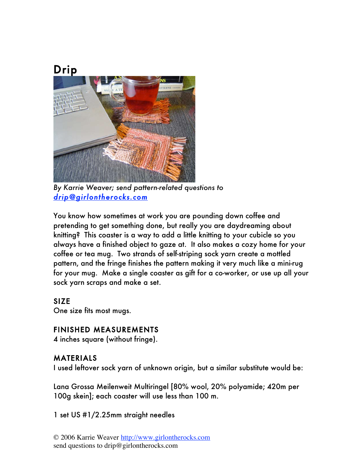

*By Karrie Weaver; send pattern-related questions to drip@girlontherocks.com* 

You know how sometimes at work you are pounding down coffee and pretending to get something done, but really you are daydreaming about knitting? This coaster is a way to add a little knitting to your cubicle so you always have a finished object to gaze at. It also makes a cozy home for your coffee or tea mug. Two strands of self-striping sock yarn create a mottled pattern, and the fringe finishes the pattern making it very much like a mini-rug for your mug. Make a single coaster as gift for a co-worker, or use up all your sock yarn scraps and make a set.

### SIZE

One size fits most mugs.

## FINISHED MEASUREMENTS

4 inches square (without fringe).

## MATERIALS

I used leftover sock yarn of unknown origin, but a similar substitute would be:

Lana Grossa Meilenweit Multiringel [80% wool, 20% polyamide; 420m per 100g skein]; each coaster will use less than 100 m.

1 set US #1/2.25mm straight needles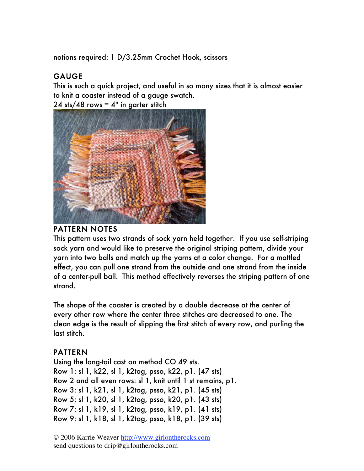notions required: 1 D/3.25mm Crochet Hook, scissors

# GAUGE

This is such a quick project, and useful in so many sizes that it is almost easier to knit a coaster instead of a gauge swatch.

24 sts/48 rows  $=$  4" in garter stitch



#### PATTERN NOTES

This pattern uses two strands of sock yarn held together. If you use self-striping sock yarn and would like to preserve the original striping pattern, divide your yarn into two balls and match up the yarns at a color change. For a mottled effect, you can pull one strand from the outside and one strand from the inside of a center-pull ball. This method effectively reverses the striping pattern of one strand.

The shape of the coaster is created by a double decrease at the center of every other row where the center three stitches are decreased to one. The clean edge is the result of slipping the first stitch of every row, and purling the last stitch.

## PATTERN

Using the long-tail cast on method CO 49 sts. Row 1: sl 1, k22, sl 1, k2tog, psso, k22, p1. (47 sts) Row 2 and all even rows: sl 1, knit until 1 st remains, p1. Row 3: sl 1, k21, sl 1, k2tog, psso, k21, p1. (45 sts) Row 5: sl 1, k20, sl 1, k2tog, psso, k20, p1. (43 sts) Row 7: sl 1, k19, sl 1, k2tog, psso, k19, p1. (41 sts) Row 9: sl 1, k18, sl 1, k2tog, psso, k18, p1. (39 sts)